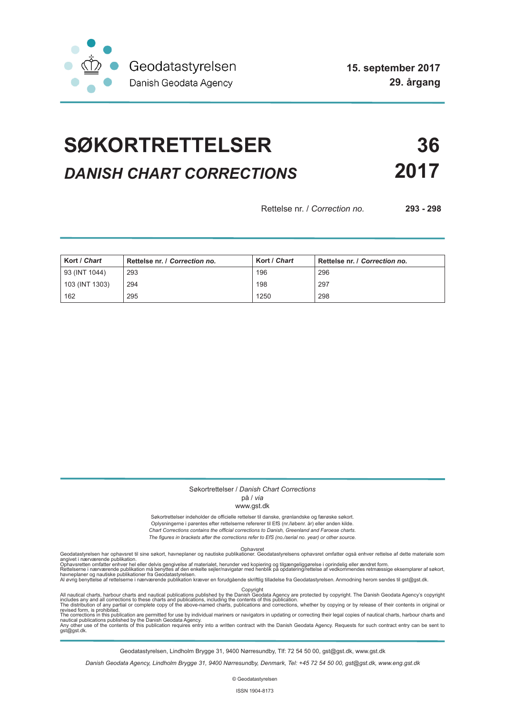

# **SØKORTRETTELSER 36** *DANISH CHART CORRECTIONS* **2017**

Rettelse nr. / *Correction no.* **293 - 298**

| Kort / Chart   | Rettelse nr. / Correction no. | Kort / Chart | Rettelse nr. / Correction no. |
|----------------|-------------------------------|--------------|-------------------------------|
| 93 (INT 1044)  | 293                           | 196          | 296                           |
| 103 (INT 1303) | 294                           | 198          | 297                           |
| 162            | 295                           | 1250         | 298                           |

### Søkortrettelser / *Danish Chart Corrections*

### på / *via*

#### www.gst.dk

Søkortrettelser indeholder de officielle rettelser til danske, grønlandske og færøske søkort. Oplysningerne i parentes efter rettelserne refererer til EfS (nr./løbenr. år) eller anden kilde. *Chart Corrections contains the official corrections to Danish, Greenland and Faroese charts. The figures in brackets after the corrections refer to EfS (no./serial no. year) or other source.*

Ophavsret Geodatastyrelsen har ophavsret til sine søkort, havneplaner og nautiske publikationer. Geodatastyrelsens ophavsret omfatter også enhver rettelse af dette materiale som

angivet i nærværende publikation.<br>Ophavsretten omfatter enhver hel eller delvis gengivelse af materialet, herunder ved kopiering og tilgængeliggørelse i oprindelig eller ændret form.<br>Rettelserne i nærværende publikation må

All nautical charts, harbour charts and nautical publications published by the Dopyright<br>includes any and all corrections to these charts and publications, including the contents of this publication.<br>The distribution of an

Geodatastyrelsen, Lindholm Brygge 31, 9400 Nørresundby, Tlf: 72 54 50 00, gst@gst.dk, www.gst.dk

*Danish Geodata Agency, Lindholm Brygge 31, 9400 Nørresundby, Denmark, Tel: +45 72 54 50 00, gst@gst.dk, www.eng.gst.dk*

© Geodatastyrelsen

ISSN 1904-8173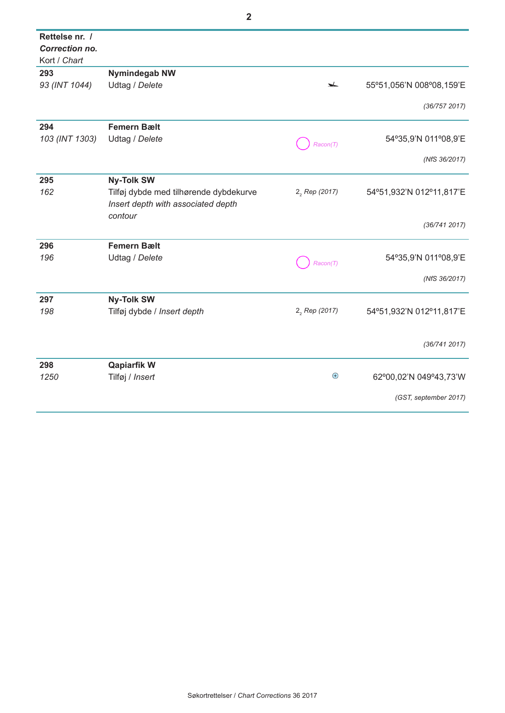| Rettelse nr. / |                                        |                          |                          |
|----------------|----------------------------------------|--------------------------|--------------------------|
| Correction no. |                                        |                          |                          |
| Kort / Chart   |                                        |                          |                          |
| 293            | <b>Nymindegab NW</b>                   |                          |                          |
|                |                                        |                          |                          |
| 93 (INT 1044)  | Udtag / Delete                         | $\overline{\phantom{a}}$ | 55°51,056'N 008°08,159'E |
|                |                                        |                          |                          |
|                |                                        |                          | (36/7572017)             |
| 294            | <b>Femern Bælt</b>                     |                          |                          |
| 103 (INT 1303) | Udtag / Delete                         |                          | 54°35,9'N 011°08,9'E     |
|                |                                        | Racon(T)                 |                          |
|                |                                        |                          | (NfS 36/2017)            |
|                |                                        |                          |                          |
| 295            | <b>Ny-Tolk SW</b>                      |                          |                          |
| 162            | Tilføj dybde med tilhørende dybdekurve | 2, Rep (2017)            | 54°51,932'N 012°11,817'E |
|                | Insert depth with associated depth     |                          |                          |
|                | contour                                |                          |                          |
|                |                                        |                          | (36/7412017)             |
|                |                                        |                          |                          |
| 296            | <b>Femern Bælt</b>                     |                          |                          |
| 196            | Udtag / Delete                         |                          | 54°35,9'N 011°08,9'E     |
|                |                                        | Racon(T)                 |                          |
|                |                                        |                          | (NfS 36/2017)            |
|                |                                        |                          |                          |
| 297            | <b>Ny-Tolk SW</b>                      |                          |                          |
| 198            | Tilføj dybde / Insert depth            | $2, Rep$ (2017)          | 54°51,932'N 012°11,817'E |
|                |                                        |                          |                          |
|                |                                        |                          |                          |
|                |                                        |                          | (36/7412017)             |
| 298            | <b>Qapiarfik W</b>                     |                          |                          |
| 1250           | Tilføj / Insert                        | ۰                        | 62°00,02'N 049°43,73'W   |
|                |                                        |                          |                          |
|                |                                        |                          | (GST, september 2017)    |
|                |                                        |                          |                          |